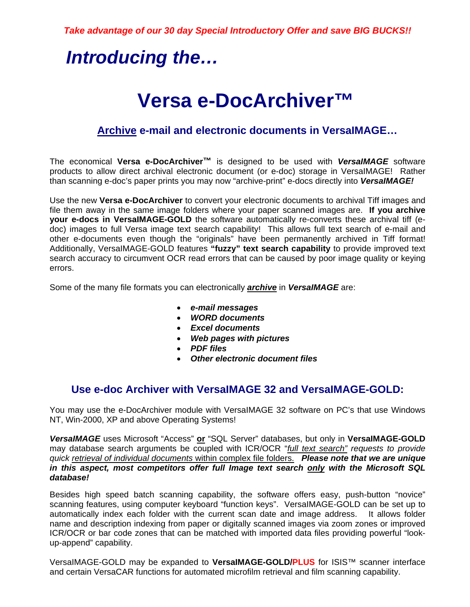# *Introducing the…*

# **Versa e-DocArchiver™**

### **Archive e-mail and electronic documents in VersaIMAGE…**

The economical **Versa e-DocArchiver™** is designed to be used with *VersaIMAGE* software products to allow direct archival electronic document (or e-doc) storage in VersaIMAGE! Rather than scanning e-doc's paper prints you may now "archive-print" e-docs directly into *VersaIMAGE!* 

Use the new **Versa e-DocArchiver** to convert your electronic documents to archival Tiff images and file them away in the same image folders where your paper scanned images are. **If you archive your e-docs in VersaIMAGE-GOLD** the software automatically re-converts these archival tiff (edoc) images to full Versa image text search capability! This allows full text search of e-mail and other e-documents even though the "originals" have been permanently archived in Tiff format! Additionally, VersaIMAGE-GOLD features **"fuzzy" text search capability** to provide improved text search accuracy to circumvent OCR read errors that can be caused by poor image quality or keying errors.

Some of the many file formats you can electronically *archive* in *VersaIMAGE* are:

- *e-mail messages*
- *WORD documents*
- *Excel documents*
- *Web pages with pictures*
- *PDF files*
- *Other electronic document files*

### **Use e-doc Archiver with VersaIMAGE 32 and VersaIMAGE-GOLD:**

You may use the e-DocArchiver module with VersaIMAGE 32 software on PC's that use Windows NT, Win-2000, XP and above Operating Systems!

*VersaIMAGE* uses Microsoft "Access" **or** "SQL Server" databases, but only in **VersaIMAGE-GOLD** may database search arguments be coupled with ICR/OCR "*full text search" requests to provide quick retrieval of individual documents* within complex file folders. *Please note that we are unique in this aspect, most competitors offer full Image text search only with the Microsoft SQL database!* 

Besides high speed batch scanning capability, the software offers easy, push-button "novice" scanning features, using computer keyboard "function keys". VersaIMAGE-GOLD can be set up to automatically index each folder with the current scan date and image address. It allows folder name and description indexing from paper or digitally scanned images via zoom zones or improved ICR/OCR or bar code zones that can be matched with imported data files providing powerful "lookup-append" capability.

VersaIMAGE-GOLD may be expanded to **VersaIMAGE-GOLD/PLUS** for ISIS™ scanner interface and certain VersaCAR functions for automated microfilm retrieval and film scanning capability.